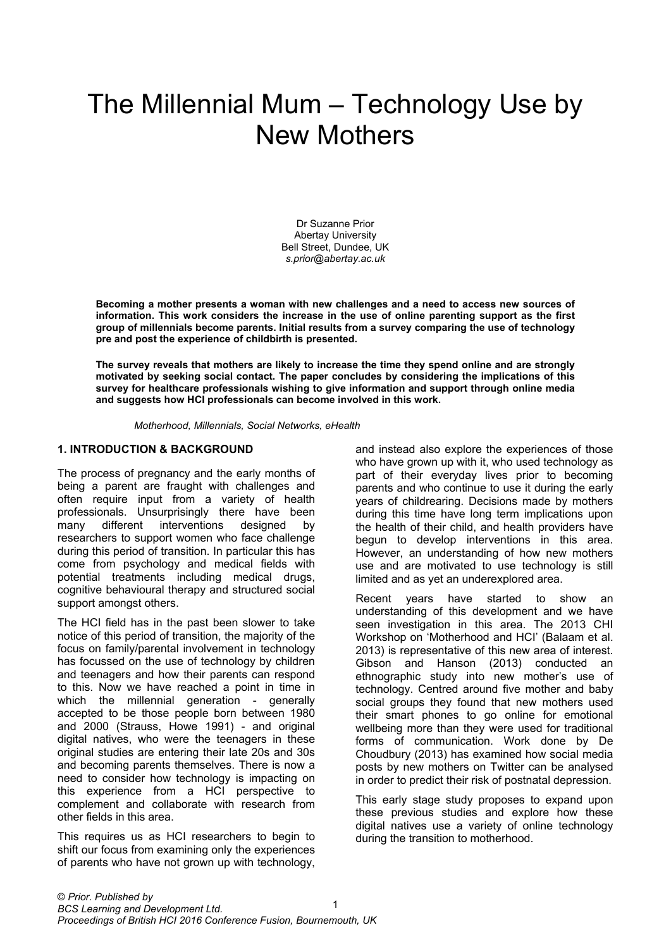# The Millennial Mum – Technology Use by New Mothers

Dr Suzanne Prior Abertay University Bell Street, Dundee, UK *s.prior@abertay.ac.uk* 

**Becoming a mother presents a woman with new challenges and a need to access new sources of information. This work considers the increase in the use of online parenting support as the first group of millennials become parents. Initial results from a survey comparing the use of technology pre and post the experience of childbirth is presented.** 

**The survey reveals that mothers are likely to increase the time they spend online and are strongly motivated by seeking social contact. The paper concludes by considering the implications of this survey for healthcare professionals wishing to give information and support through online media and suggests how HCI professionals can become involved in this work.** 

*Motherhood, Millennials, Social Networks, eHealth* 

#### **1. INTRODUCTION & BACKGROUND**

The process of pregnancy and the early months of being a parent are fraught with challenges and often require input from a variety of health professionals. Unsurprisingly there have been many different interventions designed by researchers to support women who face challenge during this period of transition. In particular this has come from psychology and medical fields with potential treatments including medical drugs, cognitive behavioural therapy and structured social support amongst others.

The HCI field has in the past been slower to take notice of this period of transition, the majority of the focus on family/parental involvement in technology has focussed on the use of technology by children and teenagers and how their parents can respond to this. Now we have reached a point in time in which the millennial generation - generally accepted to be those people born between 1980 and 2000 (Strauss, Howe 1991) - and original digital natives, who were the teenagers in these original studies are entering their late 20s and 30s and becoming parents themselves. There is now a need to consider how technology is impacting on this experience from a HCI perspective to complement and collaborate with research from other fields in this area.

This requires us as HCI researchers to begin to shift our focus from examining only the experiences of parents who have not grown up with technology, and instead also explore the experiences of those who have grown up with it, who used technology as part of their everyday lives prior to becoming parents and who continue to use it during the early years of childrearing. Decisions made by mothers during this time have long term implications upon the health of their child, and health providers have begun to develop interventions in this area. However, an understanding of how new mothers use and are motivated to use technology is still limited and as yet an underexplored area.

Recent years have started to show an understanding of this development and we have seen investigation in this area. The 2013 CHI Workshop on 'Motherhood and HCI' (Balaam et al. 2013) is representative of this new area of interest. Gibson and Hanson (2013) conducted an ethnographic study into new mother's use of technology. Centred around five mother and baby social groups they found that new mothers used their smart phones to go online for emotional wellbeing more than they were used for traditional forms of communication. Work done by De Choudbury (2013) has examined how social media posts by new mothers on Twitter can be analysed in order to predict their risk of postnatal depression.

This early stage study proposes to expand upon these previous studies and explore how these digital natives use a variety of online technology during the transition to motherhood.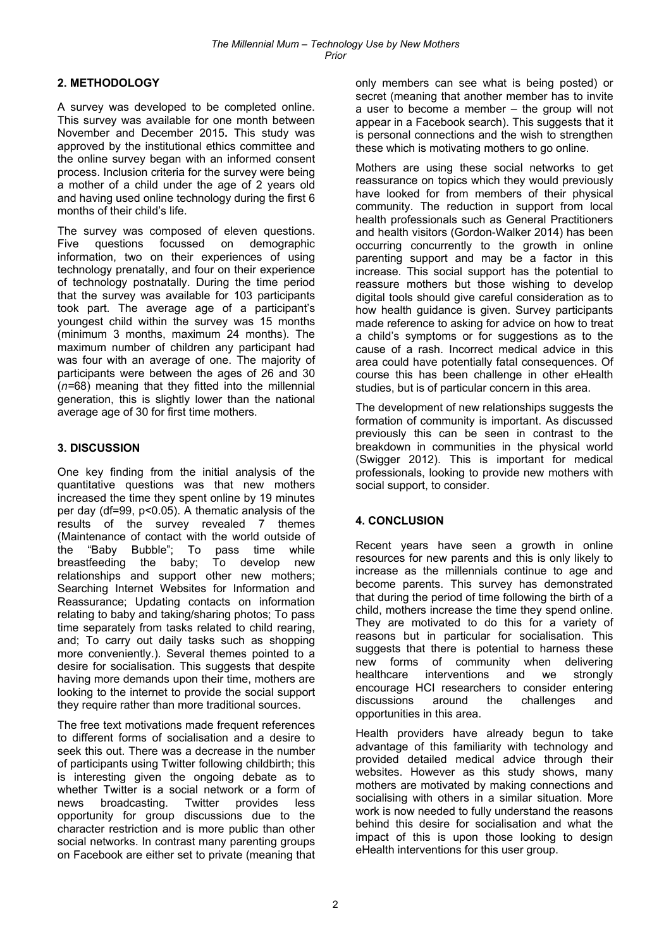## **2. METHODOLOGY**

A survey was developed to be completed online. This survey was available for one month between November and December 2015**.** This study was approved by the institutional ethics committee and the online survey began with an informed consent process. Inclusion criteria for the survey were being a mother of a child under the age of 2 years old and having used online technology during the first 6 months of their child's life.

The survey was composed of eleven questions. Five questions focussed on demographic information, two on their experiences of using technology prenatally, and four on their experience of technology postnatally. During the time period that the survey was available for 103 participants took part. The average age of a participant's youngest child within the survey was 15 months (minimum 3 months, maximum 24 months). The maximum number of children any participant had was four with an average of one. The majority of participants were between the ages of 26 and 30 (*n=*68) meaning that they fitted into the millennial generation, this is slightly lower than the national average age of 30 for first time mothers.

## **3. DISCUSSION**

One key finding from the initial analysis of the quantitative questions was that new mothers increased the time they spent online by 19 minutes per day (df=99, p<0.05). A thematic analysis of the results of the survey revealed 7 themes (Maintenance of contact with the world outside of the "Baby Bubble"; To pass time while<br>breastfeeding the baby; To develop new breastfeeding the baby; To develop new relationships and support other new mothers; Searching Internet Websites for Information and Reassurance; Updating contacts on information relating to baby and taking/sharing photos; To pass time separately from tasks related to child rearing, and; To carry out daily tasks such as shopping more conveniently.). Several themes pointed to a desire for socialisation. This suggests that despite having more demands upon their time, mothers are looking to the internet to provide the social support they require rather than more traditional sources.

The free text motivations made frequent references to different forms of socialisation and a desire to seek this out. There was a decrease in the number of participants using Twitter following childbirth; this is interesting given the ongoing debate as to whether Twitter is a social network or a form of news broadcasting. Twitter provides less opportunity for group discussions due to the character restriction and is more public than other social networks. In contrast many parenting groups on Facebook are either set to private (meaning that only members can see what is being posted) or secret (meaning that another member has to invite a user to become a member – the group will not appear in a Facebook search). This suggests that it is personal connections and the wish to strengthen these which is motivating mothers to go online.

Mothers are using these social networks to get reassurance on topics which they would previously have looked for from members of their physical community. The reduction in support from local health professionals such as General Practitioners and health visitors (Gordon-Walker 2014) has been occurring concurrently to the growth in online parenting support and may be a factor in this increase. This social support has the potential to reassure mothers but those wishing to develop digital tools should give careful consideration as to how health guidance is given. Survey participants made reference to asking for advice on how to treat a child's symptoms or for suggestions as to the cause of a rash. Incorrect medical advice in this area could have potentially fatal consequences. Of course this has been challenge in other eHealth studies, but is of particular concern in this area.

The development of new relationships suggests the formation of community is important. As discussed previously this can be seen in contrast to the breakdown in communities in the physical world (Swigger 2012). This is important for medical professionals, looking to provide new mothers with social support, to consider.

## **4. CONCLUSION**

Recent years have seen a growth in online resources for new parents and this is only likely to increase as the millennials continue to age and become parents. This survey has demonstrated that during the period of time following the birth of a child, mothers increase the time they spend online. They are motivated to do this for a variety of reasons but in particular for socialisation. This suggests that there is potential to harness these new forms of community when delivering healthcare interventions and we strongly encourage HCI researchers to consider entering discussions around the challenges and opportunities in this area.

Health providers have already begun to take advantage of this familiarity with technology and provided detailed medical advice through their websites. However as this study shows, many mothers are motivated by making connections and socialising with others in a similar situation. More work is now needed to fully understand the reasons behind this desire for socialisation and what the impact of this is upon those looking to design eHealth interventions for this user group.